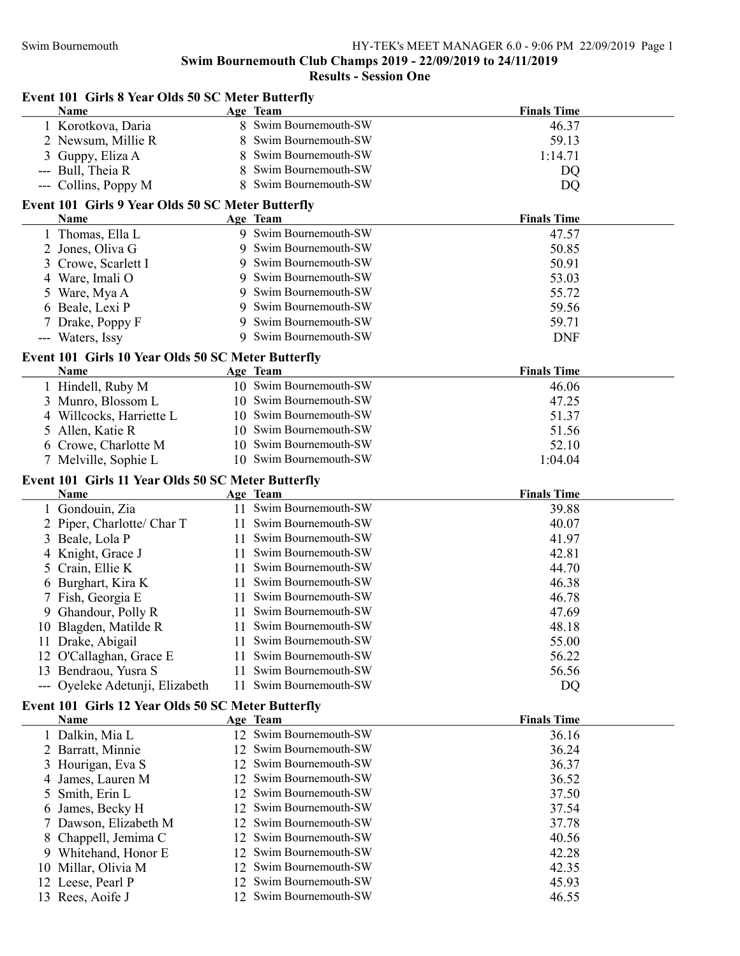Event 101 Girls 8 Year Olds 50 SC Meter Butterfly

### Swim Bournemouth Club Champs 2019 - 22/09/2019 to 24/11/2019

| Name                                                 | Age Team               | <b>Finals Time</b> |
|------------------------------------------------------|------------------------|--------------------|
| 1 Korotkova, Daria                                   | 8 Swim Bournemouth-SW  | 46.37              |
| 2 Newsum, Millie R                                   | Swim Bournemouth-SW    | 59.13              |
| Guppy, Eliza A                                       | Swim Bournemouth-SW    | 1:14.71            |
| Bull, Theia R<br>$\hspace{0.05cm}---\hspace{0.05cm}$ | Swim Bournemouth-SW    | DQ                 |
| --- Collins, Poppy M                                 | 8 Swim Bournemouth-SW  | DQ                 |
| Event 101 Girls 9 Year Olds 50 SC Meter Butterfly    |                        |                    |
| Name                                                 | Age Team               | <b>Finals Time</b> |
| 1 Thomas, Ella L                                     | 9 Swim Bournemouth-SW  | 47.57              |
| 2 Jones, Oliva G                                     | 9 Swim Bournemouth-SW  | 50.85              |
| 3<br>Crowe, Scarlett I                               | 9 Swim Bournemouth-SW  | 50.91              |
| Ware, Imali O<br>4                                   | Swim Bournemouth-SW    | 53.03              |
| Ware, Mya A<br>5                                     | Swim Bournemouth-SW    | 55.72              |
| 6 Beale, Lexi P                                      | Swim Bournemouth-SW    | 59.56              |
| Drake, Poppy F                                       | Swim Bournemouth-SW    | 59.71              |
| --- Waters, Issy                                     | 9 Swim Bournemouth-SW  | <b>DNF</b>         |
| Event 101 Girls 10 Year Olds 50 SC Meter Butterfly   |                        |                    |
| Name                                                 | Age Team               | <b>Finals Time</b> |
| 1 Hindell, Ruby M                                    | 10 Swim Bournemouth-SW | 46.06              |
| Munro, Blossom L<br>3                                | 10 Swim Bournemouth-SW | 47.25              |
| 4 Willcocks, Harriette L                             | 10 Swim Bournemouth-SW | 51.37              |
| Allen, Katie R<br>5                                  | 10 Swim Bournemouth-SW | 51.56              |
| 6 Crowe, Charlotte M                                 | 10 Swim Bournemouth-SW | 52.10              |
| 7 Melville, Sophie L                                 | 10 Swim Bournemouth-SW | 1:04.04            |
| Event 101 Girls 11 Year Olds 50 SC Meter Butterfly   |                        |                    |
| Name                                                 | Age Team               | <b>Finals Time</b> |
| 1 Gondouin, Zia                                      | 11 Swim Bournemouth-SW | 39.88              |
| Piper, Charlotte/ Char T<br>2                        | 11 Swim Bournemouth-SW | 40.07              |
| Beale, Lola P<br>3                                   | 11 Swim Bournemouth-SW | 41.97              |
| Knight, Grace J                                      | 11 Swim Bournemouth-SW | 42.81              |
| Crain, Ellie K<br>5                                  | 11 Swim Bournemouth-SW | 44.70              |
| 6 Burghart, Kira K                                   | 11 Swim Bournemouth-SW | 46.38              |
| Fish, Georgia E                                      | 11 Swim Bournemouth-SW | 46.78              |
| 9 Ghandour, Polly R                                  | 11 Swim Bournemouth-SW | 47.69              |
| 10 Blagden, Matilde R                                | 11 Swim Bournemouth-SW | 48.18              |
| 11 Drake, Abigail                                    | 11 Swim Bournemouth-SW | 55.00              |
| 12 O'Callaghan, Grace E                              | 11 Swim Bournemouth-SW | 56.22              |
| 13 Bendraou, Yusra S                                 | 11 Swim Bournemouth-SW | 56.56              |
| --- Oyeleke Adetunji, Elizabeth                      | 11 Swim Bournemouth-SW | DQ                 |
| Event 101 Girls 12 Year Olds 50 SC Meter Butterfly   |                        |                    |
| Name                                                 | Age Team               | <b>Finals Time</b> |
| 1 Dalkin, Mia L                                      | 12 Swim Bournemouth-SW | 36.16              |
| 2 Barratt, Minnie                                    | 12 Swim Bournemouth-SW | 36.24              |
| Hourigan, Eva S                                      | 12 Swim Bournemouth-SW | 36.37              |
| James, Lauren M<br>4                                 | 12 Swim Bournemouth-SW | 36.52              |
| Smith, Erin L<br>5                                   | 12 Swim Bournemouth-SW | 37.50              |
| James, Becky H<br>6                                  | 12 Swim Bournemouth-SW | 37.54              |
| Dawson, Elizabeth M<br>Τ                             | 12 Swim Bournemouth-SW | 37.78              |
| Chappell, Jemima C<br>8.                             | 12 Swim Bournemouth-SW | 40.56              |
| Whitehand, Honor E<br>9                              | 12 Swim Bournemouth-SW | 42.28              |
| Millar, Olivia M<br>10                               | 12 Swim Bournemouth-SW | 42.35              |
| 12 Leese, Pearl P                                    | 12 Swim Bournemouth-SW | 45.93              |
| 13 Rees, Aoife J                                     | 12 Swim Bournemouth-SW | 46.55              |
|                                                      |                        |                    |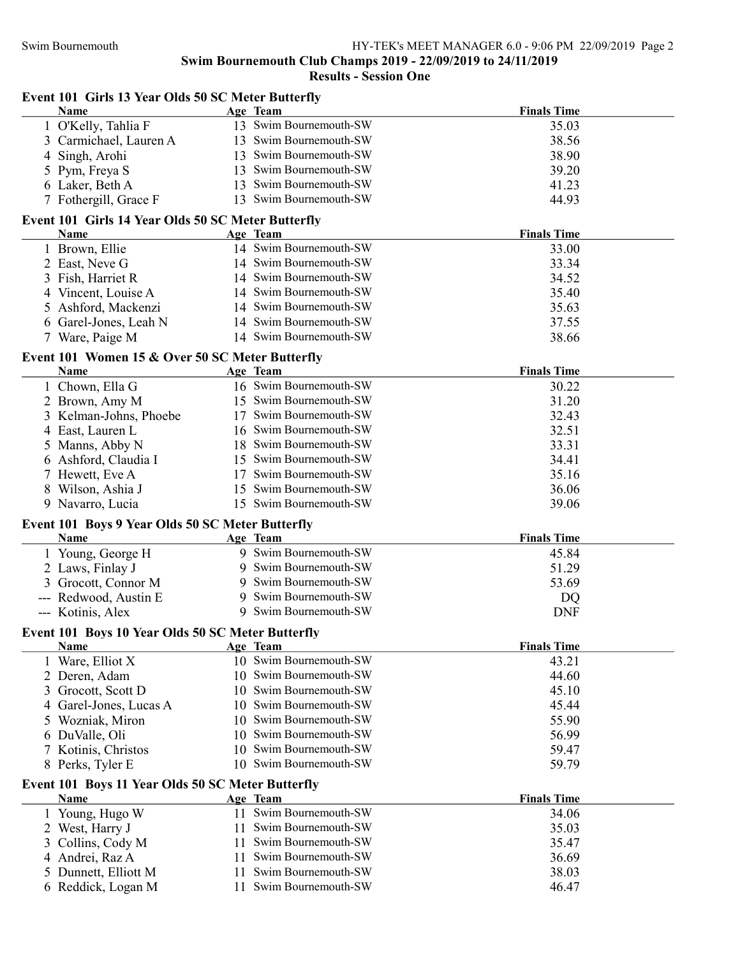| Event 101 Girls 13 Year Olds 50 SC Meter Butterfly<br>Name | Age Team                                                | <b>Finals Time</b>          |
|------------------------------------------------------------|---------------------------------------------------------|-----------------------------|
| 1 O'Kelly, Tahlia F                                        | 13 Swim Bournemouth-SW                                  | 35.03                       |
| 3 Carmichael, Lauren A                                     | 13 Swim Bournemouth-SW                                  | 38.56                       |
| 4 Singh, Arohi                                             | 13 Swim Bournemouth-SW                                  | 38.90                       |
| 5 Pym, Freya S                                             | 13 Swim Bournemouth-SW                                  | 39.20                       |
| 6 Laker, Beth A                                            | 13 Swim Bournemouth-SW                                  | 41.23                       |
| 7 Fothergill, Grace F                                      | 13 Swim Bournemouth-SW                                  | 44.93                       |
| Event 101 Girls 14 Year Olds 50 SC Meter Butterfly<br>Name | Age Team                                                | <b>Finals Time</b>          |
| 1 Brown, Ellie                                             | 14 Swim Bournemouth-SW                                  | 33.00                       |
| 2 East, Neve G                                             | 14 Swim Bournemouth-SW                                  | 33.34                       |
|                                                            | 14 Swim Bournemouth-SW                                  |                             |
| Fish, Harriet R<br>3                                       | 14 Swim Bournemouth-SW                                  | 34.52                       |
| 4 Vincent, Louise A                                        |                                                         | 35.40                       |
| Ashford, Mackenzi<br>5.                                    | 14 Swim Bournemouth-SW                                  | 35.63                       |
| 6 Garel-Jones, Leah N                                      | 14 Swim Bournemouth-SW<br>14 Swim Bournemouth-SW        | 37.55                       |
| 7 Ware, Paige M                                            |                                                         | 38.66                       |
| Event 101 Women 15 & Over 50 SC Meter Butterfly            |                                                         |                             |
| Name                                                       | Age Team<br>16 Swim Bournemouth-SW                      | <b>Finals Time</b><br>30.22 |
| 1 Chown, Ella G                                            | 15 Swim Bournemouth-SW                                  | 31.20                       |
| 2 Brown, Amy M                                             | 17 Swim Bournemouth-SW                                  | 32.43                       |
| 3 Kelman-Johns, Phoebe                                     |                                                         |                             |
| 4 East, Lauren L                                           | 16 Swim Bournemouth-SW                                  | 32.51                       |
| 5 Manns, Abby N                                            | 18 Swim Bournemouth-SW                                  | 33.31                       |
| 6 Ashford, Claudia I                                       | 15 Swim Bournemouth-SW                                  | 34.41                       |
| 7 Hewett, Eve A                                            | 17 Swim Bournemouth-SW                                  | 35.16                       |
| 8 Wilson, Ashia J                                          | 15 Swim Bournemouth-SW                                  | 36.06                       |
| 9 Navarro, Lucia                                           | 15 Swim Bournemouth-SW                                  | 39.06                       |
| Event 101 Boys 9 Year Olds 50 SC Meter Butterfly           |                                                         |                             |
| Name                                                       | Age Team                                                | <b>Finals Time</b>          |
| 1 Young, George H                                          | 9 Swim Bournemouth-SW                                   | 45.84                       |
| 2 Laws, Finlay J                                           | 9 Swim Bournemouth-SW                                   | 51.29                       |
| Grocott, Connor M<br>3                                     | 9 Swim Bournemouth-SW                                   | 53.69                       |
| Redwood, Austin E                                          | 9 Swim Bournemouth-SW                                   | DQ                          |
| --- Kotinis, Alex                                          | 9 Swim Bournemouth-SW                                   | <b>DNF</b>                  |
| Event 101 Boys 10 Year Olds 50 SC Meter Butterfly<br>Name  |                                                         | <b>Finals Time</b>          |
| 1 Ware, Elliot X                                           | Age Team<br>10 Swim Bournemouth-SW                      | 43.21                       |
| 2 Deren, Adam                                              | 10 Swim Bournemouth-SW                                  | 44.60                       |
|                                                            | 10 Swim Bournemouth-SW                                  | 45.10                       |
| Grocott, Scott D<br>3                                      | 10 Swim Bournemouth-SW                                  |                             |
| Garel-Jones, Lucas A<br>4                                  | Swim Bournemouth-SW                                     | 45.44                       |
| Wozniak, Miron<br>5                                        | 10.<br>Swim Bournemouth-SW                              | 55.90                       |
| 6 DuValle, Oli                                             | 10<br>Swim Bournemouth-SW                               | 56.99                       |
| 7 Kotinis, Christos                                        | 10<br>10 Swim Bournemouth-SW                            | 59.47                       |
| 8 Perks, Tyler E                                           |                                                         | 59.79                       |
| Event 101 Boys 11 Year Olds 50 SC Meter Butterfly<br>Name  | Age Team                                                | <b>Finals Time</b>          |
|                                                            |                                                         |                             |
|                                                            | 11 Swim Bournemouth-SW                                  |                             |
| 1 Young, Hugo W                                            | 11                                                      | 34.06                       |
| 2 West, Harry J                                            | Swim Bournemouth-SW                                     | 35.03                       |
| Collins, Cody M<br>3                                       | Swim Bournemouth-SW<br>11.                              | 35.47                       |
| Andrei, Raz A<br>4<br>Dunnett, Elliott M<br>5              | Swim Bournemouth-SW<br>11.<br>Swim Bournemouth-SW<br>11 | 36.69<br>38.03              |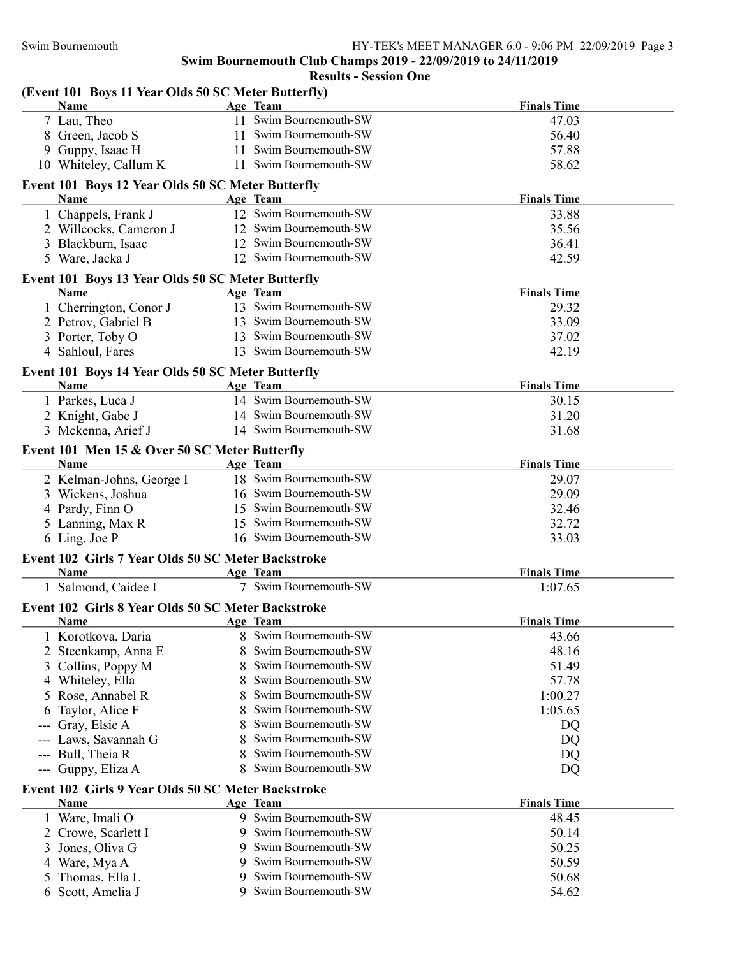| (Event 101 Boys 11 Year Olds 50 SC Meter Butterfly)<br><b>Name</b> |   | Age Team               | <b>Finals Time</b> |
|--------------------------------------------------------------------|---|------------------------|--------------------|
| 7 Lau, Theo                                                        |   | 11 Swim Bournemouth-SW | 47.03              |
| 8 Green, Jacob S                                                   |   | 11 Swim Bournemouth-SW | 56.40              |
| 9 Guppy, Isaac H                                                   |   | 11 Swim Bournemouth-SW | 57.88              |
| 10 Whiteley, Callum K                                              |   | 11 Swim Bournemouth-SW | 58.62              |
| Event 101 Boys 12 Year Olds 50 SC Meter Butterfly                  |   |                        |                    |
| Name                                                               |   | Age Team               | <b>Finals Time</b> |
| 1 Chappels, Frank J                                                |   | 12 Swim Bournemouth-SW | 33.88              |
| 2 Willcocks, Cameron J                                             |   | 12 Swim Bournemouth-SW | 35.56              |
| 3 Blackburn, Isaac                                                 |   | 12 Swim Bournemouth-SW | 36.41              |
| 5 Ware, Jacka J                                                    |   | 12 Swim Bournemouth-SW | 42.59              |
| Event 101 Boys 13 Year Olds 50 SC Meter Butterfly                  |   |                        |                    |
| <b>Name</b>                                                        |   | Age Team               | <b>Finals Time</b> |
| 1 Cherrington, Conor J                                             |   | 13 Swim Bournemouth-SW | 29.32              |
| 2 Petrov, Gabriel B                                                |   | 13 Swim Bournemouth-SW | 33.09              |
| 3 Porter, Toby O                                                   |   | 13 Swim Bournemouth-SW | 37.02              |
| 4 Sahloul, Fares                                                   |   | 13 Swim Bournemouth-SW | 42.19              |
| Event 101 Boys 14 Year Olds 50 SC Meter Butterfly                  |   |                        |                    |
| Name                                                               |   | Age Team               | <b>Finals Time</b> |
| 1 Parkes, Luca J                                                   |   | 14 Swim Bournemouth-SW | 30.15              |
| 2 Knight, Gabe J                                                   |   | 14 Swim Bournemouth-SW | 31.20              |
| 3 Mckenna, Arief J                                                 |   | 14 Swim Bournemouth-SW | 31.68              |
| Event 101 Men 15 & Over 50 SC Meter Butterfly                      |   |                        |                    |
| <b>Name</b>                                                        |   | Age Team               | <b>Finals Time</b> |
| 2 Kelman-Johns, George I                                           |   | 18 Swim Bournemouth-SW | 29.07              |
| 3 Wickens, Joshua                                                  |   | 16 Swim Bournemouth-SW | 29.09              |
| 4 Pardy, Finn O                                                    |   | 15 Swim Bournemouth-SW | 32.46              |
| 5 Lanning, Max R                                                   |   | 15 Swim Bournemouth-SW | 32.72              |
| 6 Ling, Joe P                                                      |   | 16 Swim Bournemouth-SW | 33.03              |
| Event 102 Girls 7 Year Olds 50 SC Meter Backstroke                 |   |                        |                    |
| Name                                                               |   | Age Team               | <b>Finals Time</b> |
| 1 Salmond, Caidee I                                                |   | 7 Swim Bournemouth-SW  | 1:07.65            |
| Event 102 Girls 8 Year Olds 50 SC Meter Backstroke                 |   |                        |                    |
| Name                                                               |   | Age Team               | <b>Finals Time</b> |
| 1 Korotkova, Daria                                                 |   | Swim Bournemouth-SW    | 43.66              |
| Steenkamp, Anna E                                                  |   | Swim Bournemouth-SW    | 48.16              |
| Collins, Poppy M<br>3                                              |   | Swim Bournemouth-SW    | 51.49              |
| 4 Whiteley, Ella                                                   |   | Swim Bournemouth-SW    | 57.78              |
| 5 Rose, Annabel R                                                  |   | Swim Bournemouth-SW    | 1:00.27            |
| Taylor, Alice F                                                    |   | Swim Bournemouth-SW    | 1:05.65            |
| Gray, Elsie A                                                      |   | Swim Bournemouth-SW    | DQ                 |
| Laws, Savannah G                                                   |   | Swim Bournemouth-SW    | DQ                 |
| Bull, Theia R                                                      |   | Swim Bournemouth-SW    | DQ                 |
| Guppy, Eliza A<br>---                                              | 8 | Swim Bournemouth-SW    | DQ                 |
| Event 102 Girls 9 Year Olds 50 SC Meter Backstroke                 |   |                        |                    |
| Name                                                               |   | Age Team               | <b>Finals Time</b> |
| 1 Ware, Imali O                                                    |   | 9 Swim Bournemouth-SW  | 48.45              |
| 2 Crowe, Scarlett I                                                |   | 9 Swim Bournemouth-SW  | 50.14              |
| 3<br>Jones, Oliva G                                                | 9 | Swim Bournemouth-SW    | 50.25              |
| 4 Ware, Mya A                                                      | 9 | Swim Bournemouth-SW    | 50.59              |
| Thomas, Ella L                                                     |   | Swim Bournemouth-SW    | 50.68              |
| 6 Scott, Amelia J                                                  |   | 9 Swim Bournemouth-SW  | 54.62              |
|                                                                    |   |                        |                    |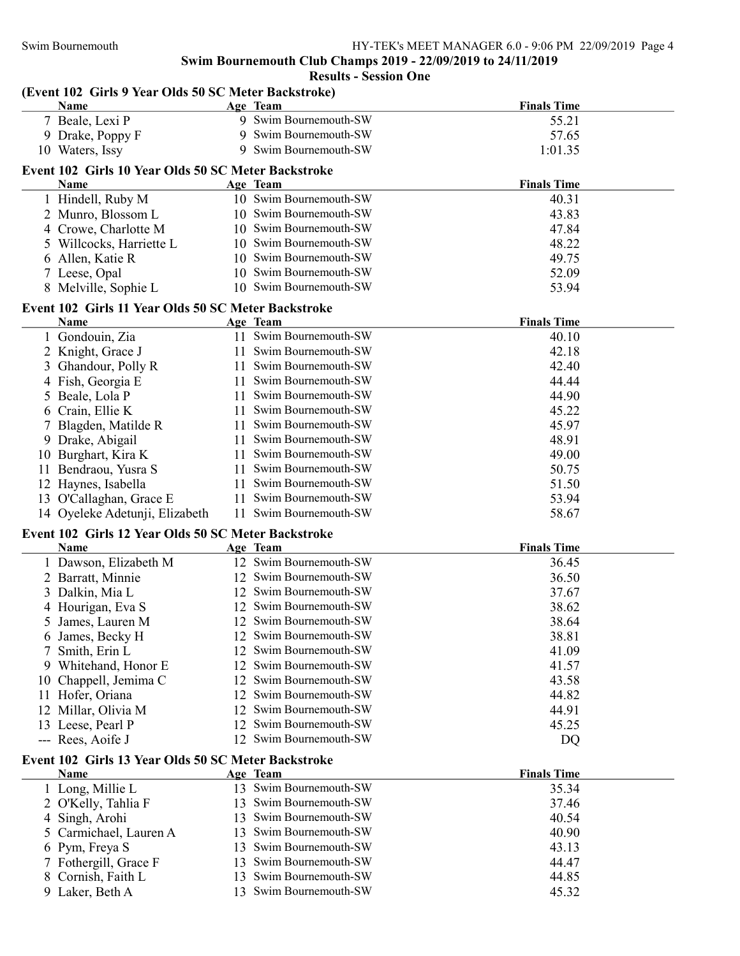| (Event 102 Girls 9 Year Olds 50 SC Meter Backstroke)<br><b>Name</b>                                   | Age Team                                         | <b>Finals Time</b> |
|-------------------------------------------------------------------------------------------------------|--------------------------------------------------|--------------------|
| 7 Beale, Lexi P                                                                                       | 9 Swim Bournemouth-SW                            | 55.21              |
| 9 Drake, Poppy F                                                                                      | 9 Swim Bournemouth-SW                            | 57.65              |
| 10 Waters, Issy                                                                                       | 9 Swim Bournemouth-SW                            | 1:01.35            |
| Event 102 Girls 10 Year Olds 50 SC Meter Backstroke                                                   |                                                  |                    |
| Name                                                                                                  | Age Team                                         | <b>Finals Time</b> |
| 1 Hindell, Ruby M                                                                                     | 10 Swim Bournemouth-SW                           | 40.31              |
| 2 Munro, Blossom L                                                                                    | 10 Swim Bournemouth-SW                           | 43.83              |
| 4 Crowe, Charlotte M                                                                                  | 10 Swim Bournemouth-SW                           | 47.84              |
| 5 Willcocks, Harriette L                                                                              | 10 Swim Bournemouth-SW                           | 48.22              |
| 6 Allen, Katie R                                                                                      | 10 Swim Bournemouth-SW                           | 49.75              |
| 7 Leese, Opal                                                                                         | 10 Swim Bournemouth-SW                           | 52.09              |
| 8 Melville, Sophie L                                                                                  | 10 Swim Bournemouth-SW                           | 53.94              |
| Event 102 Girls 11 Year Olds 50 SC Meter Backstroke                                                   |                                                  |                    |
| Name                                                                                                  | Age Team                                         | <b>Finals Time</b> |
| 1 Gondouin, Zia                                                                                       | 11 Swim Bournemouth-SW                           | 40.10              |
| 2 Knight, Grace J                                                                                     | 11 Swim Bournemouth-SW                           | 42.18              |
| Ghandour, Polly R<br>3                                                                                | 11 Swim Bournemouth-SW                           | 42.40              |
| Fish, Georgia E<br>4                                                                                  | 11 Swim Bournemouth-SW                           | 44.44              |
| Beale, Lola P<br>5                                                                                    | 11 Swim Bournemouth-SW                           | 44.90              |
| 6 Crain, Ellie K                                                                                      | 11 Swim Bournemouth-SW                           | 45.22              |
| Blagden, Matilde R                                                                                    | 11 Swim Bournemouth-SW                           | 45.97              |
| 9 Drake, Abigail                                                                                      | 11 Swim Bournemouth-SW                           | 48.91              |
| 10 Burghart, Kira K                                                                                   | 11 Swim Bournemouth-SW                           | 49.00              |
| 11 Bendraou, Yusra S                                                                                  | 11 Swim Bournemouth-SW                           | 50.75              |
| 12 Haynes, Isabella                                                                                   | 11 Swim Bournemouth-SW                           | 51.50              |
| 13 O'Callaghan, Grace E                                                                               | 11 Swim Bournemouth-SW                           | 53.94              |
| 14 Oyeleke Adetunji, Elizabeth                                                                        | 11 Swim Bournemouth-SW                           | 58.67              |
| Event 102 Girls 12 Year Olds 50 SC Meter Backstroke                                                   |                                                  |                    |
| <b>Name</b>                                                                                           | Age Team                                         | <b>Finals Time</b> |
| 1 Dawson, Elizabeth M                                                                                 |                                                  |                    |
|                                                                                                       | 12 Swim Bournemouth-SW                           | 36.45              |
|                                                                                                       | 12 Swim Bournemouth-SW                           |                    |
| 2 Barratt, Minnie                                                                                     | 12 Swim Bournemouth-SW                           | 36.50              |
| 3 Dalkin, Mia L                                                                                       | 12 Swim Bournemouth-SW                           | 37.67              |
| 4 Hourigan, Eva S                                                                                     | 12 Swim Bournemouth-SW                           | 38.62              |
| 5 James, Lauren M                                                                                     | 12 Swim Bournemouth-SW                           | 38.64              |
| 6 James, Becky H<br>7                                                                                 | 12 Swim Bournemouth-SW                           | 38.81              |
| Smith, Erin L                                                                                         | 12 Swim Bournemouth-SW                           | 41.09              |
| Whitehand, Honor E<br>9                                                                               | 12 Swim Bournemouth-SW                           | 41.57              |
| 10 Chappell, Jemima C                                                                                 | 12 Swim Bournemouth-SW                           | 43.58              |
| Hofer, Oriana<br>11<br>Millar, Olivia M<br>12                                                         | 12 Swim Bournemouth-SW                           | 44.82<br>44.91     |
| 13 Leese, Pearl P                                                                                     | 12 Swim Bournemouth-SW                           | 45.25              |
| --- Rees, Aoife J                                                                                     | 12 Swim Bournemouth-SW                           | DQ                 |
|                                                                                                       |                                                  |                    |
| <b>Name</b>                                                                                           |                                                  | <b>Finals Time</b> |
|                                                                                                       | Age Team<br>13 Swim Bournemouth-SW               |                    |
| 1 Long, Millie L                                                                                      |                                                  | 35.34              |
| 2 O'Kelly, Tahlia F                                                                                   | 13 Swim Bournemouth-SW                           | 37.46              |
| 4 Singh, Arohi                                                                                        | 13 Swim Bournemouth-SW<br>13                     | 40.54              |
| 5 Carmichael, Lauren A                                                                                | Swim Bournemouth-SW<br>13                        | 40.90              |
| 6 Pym, Freya S                                                                                        | Swim Bournemouth-SW<br>13                        | 43.13              |
| Event 102 Girls 13 Year Olds 50 SC Meter Backstroke<br>7 Fothergill, Grace F<br>Cornish, Faith L<br>8 | Swim Bournemouth-SW<br>Swim Bournemouth-SW<br>13 | 44.47<br>44.85     |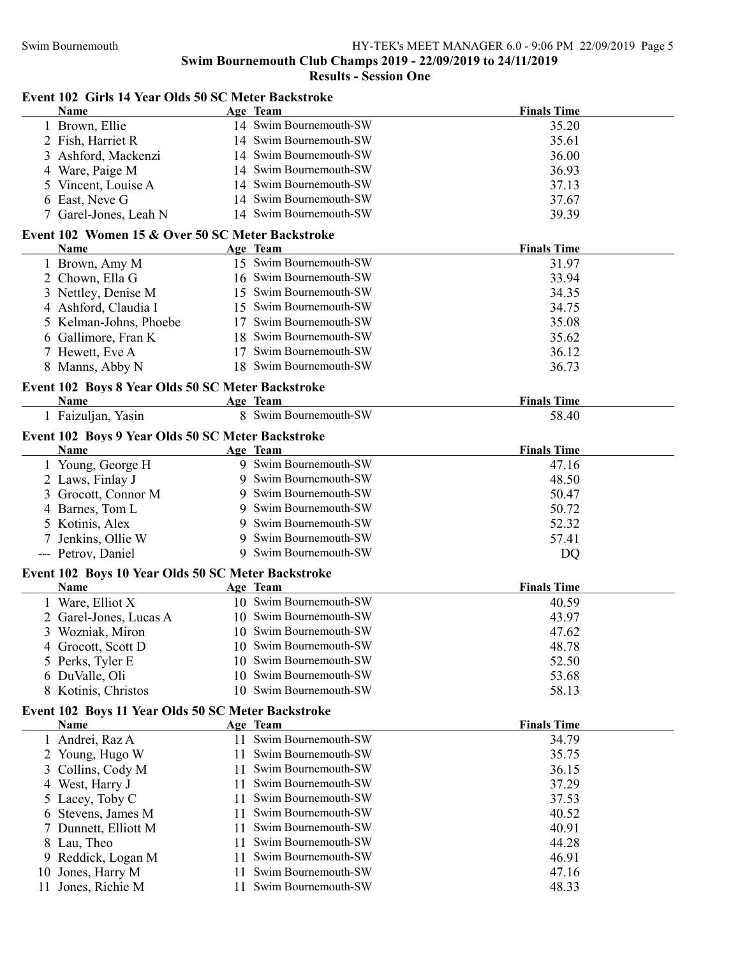### Results - Session One

### Event 102 Girls 14 Year Olds 50 SC Meter Backstroke

|    | <b>Name</b>                                        |    | Age Team                          | <b>Finals Time</b> |
|----|----------------------------------------------------|----|-----------------------------------|--------------------|
|    | 1 Brown, Ellie                                     |    | 14 Swim Bournemouth-SW            | 35.20              |
|    | 2 Fish, Harriet R                                  |    | 14 Swim Bournemouth-SW            | 35.61              |
|    | 3 Ashford, Mackenzi                                |    | 14 Swim Bournemouth-SW            | 36.00              |
|    | 4 Ware, Paige M                                    |    | 14 Swim Bournemouth-SW            | 36.93              |
|    | 5 Vincent, Louise A                                |    | 14 Swim Bournemouth-SW            | 37.13              |
| 6  | East, Neve G                                       |    | 14 Swim Bournemouth-SW            | 37.67              |
|    | 7 Garel-Jones, Leah N                              |    | 14 Swim Bournemouth-SW            | 39.39              |
|    | Event 102 Women 15 & Over 50 SC Meter Backstroke   |    |                                   |                    |
|    | Name                                               |    | Age Team                          | <b>Finals Time</b> |
|    | 1 Brown, Amy M                                     |    | 15 Swim Bournemouth-SW            | 31.97              |
|    | 2 Chown, Ella G                                    |    | 16 Swim Bournemouth-SW            | 33.94              |
|    | 3 Nettley, Denise M                                |    | 15 Swim Bournemouth-SW            | 34.35              |
|    | 4 Ashford, Claudia I                               |    | 15 Swim Bournemouth-SW            | 34.75              |
|    | 5 Kelman-Johns, Phoebe                             |    | 17 Swim Bournemouth-SW            | 35.08              |
|    | 6 Gallimore, Fran K                                |    | 18 Swim Bournemouth-SW            | 35.62              |
|    | 7 Hewett, Eve A                                    | 17 | Swim Bournemouth-SW               | 36.12              |
|    | 8 Manns, Abby N                                    |    | 18 Swim Bournemouth-SW            | 36.73              |
|    |                                                    |    |                                   |                    |
|    | Event 102 Boys 8 Year Olds 50 SC Meter Backstroke  |    |                                   |                    |
|    | Name                                               |    | Age Team<br>8 Swim Bournemouth-SW | <b>Finals Time</b> |
|    | 1 Faizuljan, Yasin                                 |    |                                   | 58.40              |
|    | Event 102 Boys 9 Year Olds 50 SC Meter Backstroke  |    |                                   |                    |
|    | Name                                               |    | Age Team                          | <b>Finals Time</b> |
|    | 1 Young, George H                                  |    | 9 Swim Bournemouth-SW             | 47.16              |
|    | 2 Laws, Finlay J                                   | 9  | Swim Bournemouth-SW               | 48.50              |
|    | Grocott, Connor M                                  | 9  | Swim Bournemouth-SW               | 50.47              |
|    | 4 Barnes, Tom L                                    | 9  | Swim Bournemouth-SW               | 50.72              |
|    | 5 Kotinis, Alex                                    | 9  | Swim Bournemouth-SW               | 52.32              |
|    | 7 Jenkins, Ollie W                                 | 9  | Swim Bournemouth-SW               | 57.41              |
|    | --- Petrov, Daniel                                 |    | 9 Swim Bournemouth-SW             | DQ                 |
|    | Event 102 Boys 10 Year Olds 50 SC Meter Backstroke |    |                                   |                    |
|    | Name                                               |    | Age Team                          | <b>Finals Time</b> |
|    | 1 Ware, Elliot X                                   |    | 10 Swim Bournemouth-SW            | 40.59              |
|    | 2 Garel-Jones, Lucas A                             |    | 10 Swim Bournemouth-SW            | 43.97              |
|    | 3 Wozniak, Miron                                   |    | 10 Swim Bournemouth-SW            | 47.62              |
|    | 4 Grocott, Scott D                                 |    | 10 Swim Bournemouth-SW            | 48.78              |
|    | 5 Perks, Tyler E                                   | 10 | Swim Bournemouth-SW               | 52.50              |
|    | 6 DuValle, Oli                                     | 10 | Swim Bournemouth-SW               | 53.68              |
|    | 8 Kotinis, Christos                                | 10 | Swim Bournemouth-SW               | 58.13              |
|    | Event 102 Boys 11 Year Olds 50 SC Meter Backstroke |    |                                   |                    |
|    | <b>Name</b>                                        |    | Age Team                          | <b>Finals Time</b> |
|    | 1 Andrei, Raz A                                    |    | 11 Swim Bournemouth-SW            | 34.79              |
|    | Young, Hugo W                                      |    | Swim Bournemouth-SW               | 35.75              |
|    | Collins, Cody M                                    | 11 | Swim Bournemouth-SW               | 36.15              |
|    | 4 West, Harry J                                    | 11 | Swim Bournemouth-SW               | 37.29              |
| 5  | Lacey, Toby C                                      | 11 | Swim Bournemouth-SW               | 37.53              |
| 6  | Stevens, James M                                   | 11 | Swim Bournemouth-SW               | 40.52              |
|    | Dunnett, Elliott M                                 | 11 | Swim Bournemouth-SW               | 40.91              |
| 8  | Lau, Theo                                          | 11 | Swim Bournemouth-SW               | 44.28              |
| 9  | Reddick, Logan M                                   | 11 | Swim Bournemouth-SW               | 46.91              |
| 10 | Jones, Harry M                                     | 11 | Swim Bournemouth-SW               | 47.16              |
| 11 | Jones, Richie M                                    | 11 | Swim Bournemouth-SW               | 48.33              |
|    |                                                    |    |                                   |                    |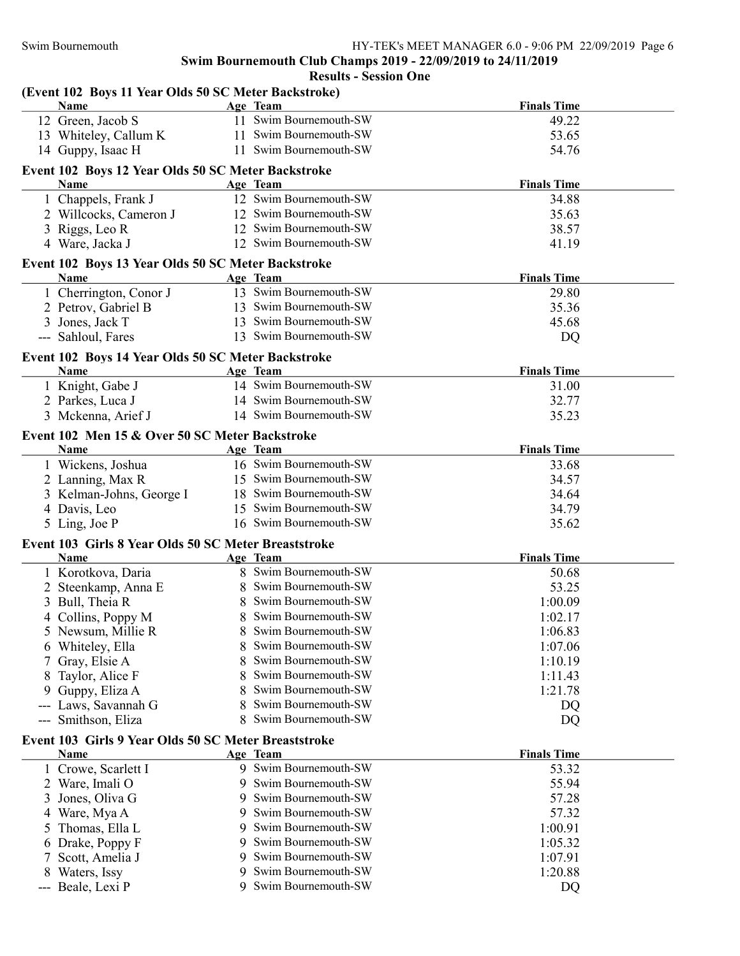| (Event 102 Boys 11 Year Olds 50 SC Meter Backstroke)<br><b>Name</b> | Age Team |                        | <b>Finals Time</b> |
|---------------------------------------------------------------------|----------|------------------------|--------------------|
| 12 Green, Jacob S                                                   |          | 11 Swim Bournemouth-SW | 49.22              |
| 13 Whiteley, Callum K                                               |          | 11 Swim Bournemouth-SW | 53.65              |
| 14 Guppy, Isaac H                                                   |          | 11 Swim Bournemouth-SW | 54.76              |
|                                                                     |          |                        |                    |
| Event 102 Boys 12 Year Olds 50 SC Meter Backstroke<br>Name          | Age Team |                        | <b>Finals Time</b> |
| 1 Chappels, Frank J                                                 |          | 12 Swim Bournemouth-SW | 34.88              |
| 2 Willcocks, Cameron J                                              |          | 12 Swim Bournemouth-SW | 35.63              |
| 3 Riggs, Leo R                                                      |          | 12 Swim Bournemouth-SW | 38.57              |
| 4 Ware, Jacka J                                                     |          | 12 Swim Bournemouth-SW | 41.19              |
| Event 102 Boys 13 Year Olds 50 SC Meter Backstroke                  |          |                        |                    |
| Name                                                                | Age Team |                        | <b>Finals Time</b> |
| 1 Cherrington, Conor J                                              |          | 13 Swim Bournemouth-SW | 29.80              |
| 2 Petrov, Gabriel B                                                 |          | 13 Swim Bournemouth-SW | 35.36              |
| 3 Jones, Jack T                                                     |          | 13 Swim Bournemouth-SW | 45.68              |
| --- Sahloul, Fares                                                  |          | 13 Swim Bournemouth-SW | DQ                 |
| Event 102 Boys 14 Year Olds 50 SC Meter Backstroke                  |          |                        |                    |
| Name                                                                | Age Team |                        | <b>Finals Time</b> |
| 1 Knight, Gabe J                                                    |          | 14 Swim Bournemouth-SW | 31.00              |
| 2 Parkes, Luca J                                                    |          | 14 Swim Bournemouth-SW | 32.77              |
| 3 Mckenna, Arief J                                                  |          | 14 Swim Bournemouth-SW | 35.23              |
| Event 102 Men 15 & Over 50 SC Meter Backstroke                      |          |                        |                    |
| Name                                                                | Age Team |                        | <b>Finals Time</b> |
| 1 Wickens, Joshua                                                   |          | 16 Swim Bournemouth-SW | 33.68              |
| 2 Lanning, Max R                                                    |          | 15 Swim Bournemouth-SW | 34.57              |
| 3 Kelman-Johns, George I                                            |          | 18 Swim Bournemouth-SW | 34.64              |
| 4 Davis, Leo                                                        |          | 15 Swim Bournemouth-SW | 34.79              |
| 5 Ling, Joe P                                                       |          | 16 Swim Bournemouth-SW | 35.62              |
|                                                                     |          |                        |                    |
| Event 103 Girls 8 Year Olds 50 SC Meter Breaststroke<br>Name        | Age Team |                        | <b>Finals Time</b> |
| 1 Korotkova, Daria                                                  |          | 8 Swim Bournemouth-SW  | 50.68              |
| 2 Steenkamp, Anna E                                                 |          | 8 Swim Bournemouth-SW  | 53.25              |
| 3 Bull, Theia R                                                     |          | 8 Swim Bournemouth-SW  | 1:00.09            |
| 4 Collins, Poppy M                                                  |          | 8 Swim Bournemouth-SW  | 1:02.17            |
| 5 Newsum, Millie R                                                  |          | Swim Bournemouth-SW    | 1:06.83            |
|                                                                     |          | Swim Bournemouth-SW    | 1:07.06            |
| Whiteley, Ella<br>6<br>Gray, Elsie A                                | 8        | Swim Bournemouth-SW    | 1:10.19            |
|                                                                     | 8        | Swim Bournemouth-SW    | 1:11.43            |
| Taylor, Alice F<br>8                                                |          | Swim Bournemouth-SW    |                    |
| Guppy, Eliza A<br>9                                                 | 8        | Swim Bournemouth-SW    | 1:21.78            |
| Laws, Savannah G<br>---                                             | 8        | Swim Bournemouth-SW    | DQ                 |
| Smithson, Eliza<br>$---$                                            | 8        |                        | DQ                 |
| Event 103 Girls 9 Year Olds 50 SC Meter Breaststroke<br>Name        | Age Team |                        | <b>Finals Time</b> |
| 1 Crowe, Scarlett I                                                 |          | 9 Swim Bournemouth-SW  | 53.32              |
| Ware, Imali O                                                       |          | Swim Bournemouth-SW    | 55.94              |
| Jones, Oliva G<br>3                                                 | 9        | Swim Bournemouth-SW    | 57.28              |
| Ware, Mya A<br>4                                                    | 9        | Swim Bournemouth-SW    | 57.32              |
| Thomas, Ella L                                                      | 9        | Swim Bournemouth-SW    | 1:00.91            |
| 5                                                                   | 9        | Swim Bournemouth-SW    |                    |
| Drake, Poppy F<br>6                                                 |          | Swim Bournemouth-SW    | 1:05.32            |
| Scott, Amelia J<br>7                                                |          | Swim Bournemouth-SW    | 1:07.91            |
| Waters, Issy<br>8<br>Beale, Lexi P                                  |          | 9 Swim Bournemouth-SW  | 1:20.88            |
| $---$                                                               |          |                        | DQ                 |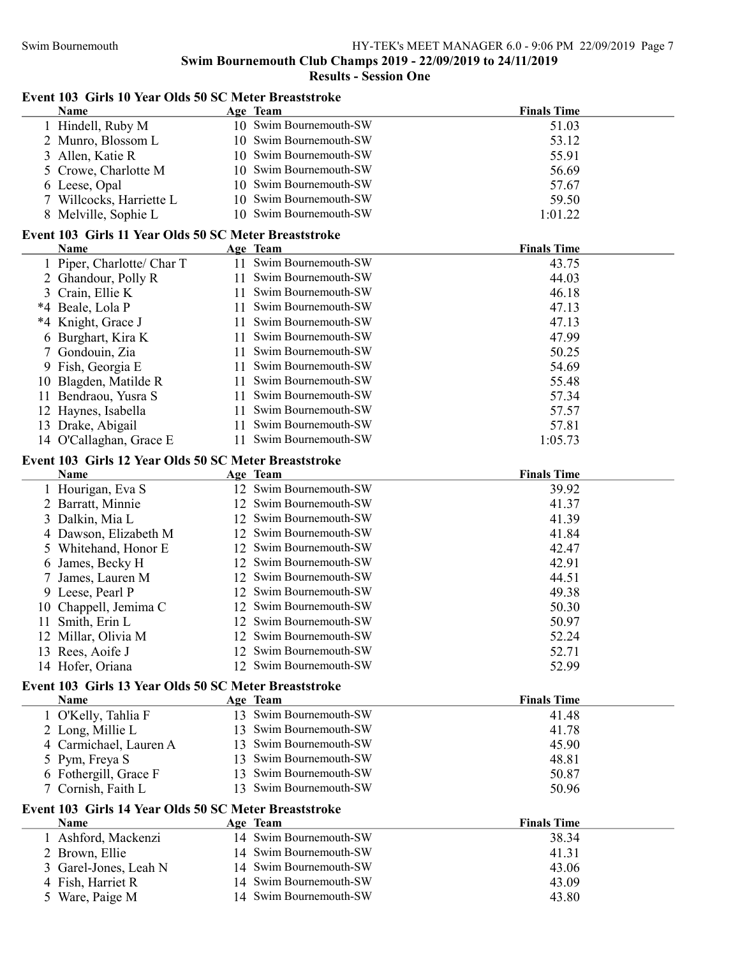### Results - Session One

## Event 103 Girls 10 Year Olds 50 SC Meter Breaststroke

|    | <b>Name</b>                                           |    | Age Team                           | <b>Finals Time</b> |
|----|-------------------------------------------------------|----|------------------------------------|--------------------|
|    | 1 Hindell, Ruby M                                     |    | 10 Swim Bournemouth-SW             | 51.03              |
|    | 2 Munro, Blossom L                                    | 10 | Swim Bournemouth-SW                | 53.12              |
| 3  | Allen, Katie R                                        |    | 10 Swim Bournemouth-SW             | 55.91              |
| 5  | Crowe, Charlotte M                                    |    | 10 Swim Bournemouth-SW             | 56.69              |
|    | 6 Leese, Opal                                         |    | 10 Swim Bournemouth-SW             | 57.67              |
|    | 7 Willcocks, Harriette L                              |    | 10 Swim Bournemouth-SW             | 59.50              |
|    | 8 Melville, Sophie L                                  |    | 10 Swim Bournemouth-SW             | 1:01.22            |
|    | Event 103 Girls 11 Year Olds 50 SC Meter Breaststroke |    |                                    |                    |
|    | Name                                                  |    | <b>Age Team</b>                    | <b>Finals Time</b> |
|    | 1 Piper, Charlotte/ Char T                            | 11 | Swim Bournemouth-SW                | 43.75              |
|    | 2 Ghandour, Polly R                                   | 11 | Swim Bournemouth-SW                | 44.03              |
| 3  | Crain, Ellie K                                        | 11 | Swim Bournemouth-SW                | 46.18              |
|    | *4 Beale, Lola P                                      | 11 | Swim Bournemouth-SW                | 47.13              |
|    | *4 Knight, Grace J                                    | 11 | Swim Bournemouth-SW                | 47.13              |
| 6  | Burghart, Kira K                                      | 11 | Swim Bournemouth-SW                | 47.99              |
| 7  | Gondouin, Zia                                         | 11 | Swim Bournemouth-SW                | 50.25              |
|    | 9 Fish, Georgia E                                     | 11 | Swim Bournemouth-SW                | 54.69              |
| 10 | Blagden, Matilde R                                    | 11 | Swim Bournemouth-SW                | 55.48              |
| 11 | Bendraou, Yusra S                                     | 11 | Swim Bournemouth-SW                | 57.34              |
|    | 12 Haynes, Isabella                                   | 11 | Swim Bournemouth-SW                | 57.57              |
|    | 13 Drake, Abigail                                     | 11 | Swim Bournemouth-SW                | 57.81              |
|    | 14 O'Callaghan, Grace E                               | 11 | Swim Bournemouth-SW                | 1:05.73            |
|    |                                                       |    |                                    |                    |
|    | Event 103 Girls 12 Year Olds 50 SC Meter Breaststroke |    |                                    |                    |
|    | Name                                                  |    | Age Team<br>12 Swim Bournemouth-SW | <b>Finals Time</b> |
|    | 1 Hourigan, Eva S                                     |    | 12 Swim Bournemouth-SW             | 39.92<br>41.37     |
|    | 2 Barratt, Minnie                                     |    | 12 Swim Bournemouth-SW             | 41.39              |
|    | 3 Dalkin, Mia L                                       |    | 12 Swim Bournemouth-SW             | 41.84              |
|    | 4 Dawson, Elizabeth M<br>5 Whitehand, Honor E         |    | 12 Swim Bournemouth-SW             | 42.47              |
|    | 6 James, Becky H                                      |    | 12 Swim Bournemouth-SW             | 42.91              |
| 7  | James, Lauren M                                       |    | 12 Swim Bournemouth-SW             | 44.51              |
|    | 9 Leese, Pearl P                                      | 12 | Swim Bournemouth-SW                | 49.38              |
| 10 | Chappell, Jemima C                                    | 12 | Swim Bournemouth-SW                | 50.30              |
| 11 | Smith, Erin L                                         | 12 | Swim Bournemouth-SW                | 50.97              |
|    | 12 Millar, Olivia M                                   |    | 12 Swim Bournemouth-SW             | 52.24              |
|    | 13 Rees, Aoife J                                      |    | 12 Swim Bournemouth-SW             | 52.71              |
|    | 14 Hofer, Oriana                                      |    | 12 Swim Bournemouth-SW             | 52.99              |
|    |                                                       |    |                                    |                    |
|    | Event 103 Girls 13 Year Olds 50 SC Meter Breaststroke |    |                                    |                    |
|    | Name                                                  |    | Age Team                           | <b>Finals Time</b> |
|    | 1 O'Kelly, Tahlia F                                   |    | 13 Swim Bournemouth-SW             | 41.48              |
|    | 2 Long, Millie L                                      | 13 | Swim Bournemouth-SW                | 41.78              |
|    | 4 Carmichael, Lauren A                                | 13 | Swim Bournemouth-SW                | 45.90              |
|    | 5 Pym, Freya S                                        | 13 | Swim Bournemouth-SW                | 48.81              |
|    | 6 Fothergill, Grace F                                 | 13 | Swim Bournemouth-SW                | 50.87              |
|    | 7 Cornish, Faith L                                    | 13 | Swim Bournemouth-SW                | 50.96              |
|    | Event 103 Girls 14 Year Olds 50 SC Meter Breaststroke |    |                                    |                    |
|    | Name                                                  |    | Age Team                           | <b>Finals Time</b> |
|    | 1 Ashford, Mackenzi                                   |    | 14 Swim Bournemouth-SW             | 38.34              |
|    | 2 Brown, Ellie                                        |    | 14 Swim Bournemouth-SW             | 41.31              |
| 3  | Garel-Jones, Leah N                                   |    | 14 Swim Bournemouth-SW             | 43.06              |
|    | 4 Fish, Harriet R                                     |    | 14 Swim Bournemouth-SW             | 43.09              |
|    | 5 Ware, Paige M                                       |    | 14 Swim Bournemouth-SW             | 43.80              |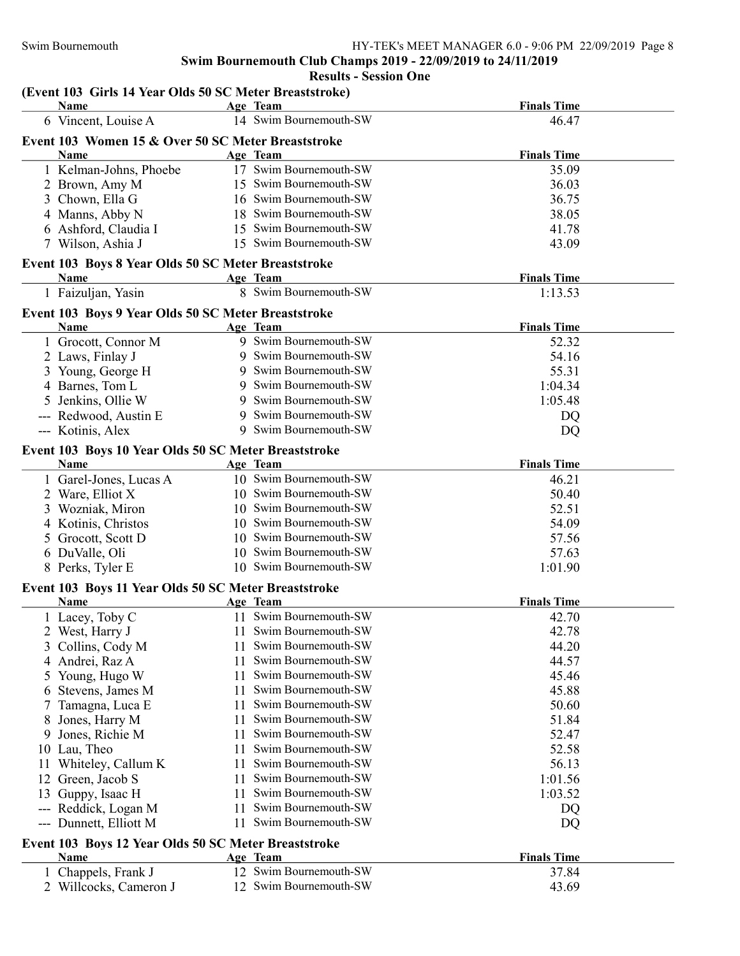### Results - Session One

### (Event 103 Girls 14 Year Olds 50 SC Meter Breaststroke)

| Name                                                         | Age Team                                         | <b>Finals Time</b> |
|--------------------------------------------------------------|--------------------------------------------------|--------------------|
| 6 Vincent, Louise A                                          | 14 Swim Bournemouth-SW                           | 46.47              |
| Event 103 Women 15 & Over 50 SC Meter Breaststroke           |                                                  |                    |
| Name                                                         | Age Team                                         | <b>Finals Time</b> |
| 1 Kelman-Johns, Phoebe                                       | 17 Swim Bournemouth-SW                           | 35.09              |
| 2 Brown, Amy M                                               | 15 Swim Bournemouth-SW                           | 36.03              |
| Chown, Ella G<br>3                                           | 16 Swim Bournemouth-SW                           | 36.75              |
| 4 Manns, Abby N                                              | Swim Bournemouth-SW<br>18                        | 38.05              |
| 6 Ashford, Claudia I                                         | Swim Bournemouth-SW<br>15                        | 41.78              |
| 7 Wilson, Ashia J                                            | 15 Swim Bournemouth-SW                           | 43.09              |
| Event 103 Boys 8 Year Olds 50 SC Meter Breaststroke          |                                                  |                    |
| Name                                                         | Age Team                                         | <b>Finals Time</b> |
| 1 Faizuljan, Yasin                                           | 8 Swim Bournemouth-SW                            | 1:13.53            |
| Event 103 Boys 9 Year Olds 50 SC Meter Breaststroke          |                                                  |                    |
| Name                                                         | Age Team                                         | <b>Finals Time</b> |
| 1 Grocott, Connor M                                          | 9 Swim Bournemouth-SW                            | 52.32              |
| 2 Laws, Finlay J                                             | 9 Swim Bournemouth-SW                            | 54.16              |
| 3 Young, George H                                            | Swim Bournemouth-SW<br>9                         | 55.31              |
| 4 Barnes, Tom L                                              | Swim Bournemouth-SW<br>9                         | 1:04.34            |
| 5 Jenkins, Ollie W                                           | Swim Bournemouth-SW<br>9                         | 1:05.48            |
| --- Redwood, Austin E                                        | Swim Bournemouth-SW<br>9                         | DQ                 |
| --- Kotinis, Alex                                            | Swim Bournemouth-SW<br>9                         | DQ                 |
|                                                              |                                                  |                    |
| Event 103 Boys 10 Year Olds 50 SC Meter Breaststroke<br>Name | Age Team                                         | <b>Finals Time</b> |
| 1 Garel-Jones, Lucas A                                       | 10 Swim Bournemouth-SW                           | 46.21              |
| 2 Ware, Elliot X                                             | 10 Swim Bournemouth-SW                           | 50.40              |
|                                                              | 10 Swim Bournemouth-SW                           | 52.51              |
| 3 Wozniak, Miron                                             | 10 Swim Bournemouth-SW                           | 54.09              |
| 4 Kotinis, Christos                                          | 10 Swim Bournemouth-SW                           |                    |
| 5 Grocott, Scott D                                           |                                                  | 57.56              |
| 6 DuValle, Oli                                               | 10 Swim Bournemouth-SW<br>10 Swim Bournemouth-SW | 57.63              |
| 8 Perks, Tyler E                                             |                                                  | 1:01.90            |
| Event 103 Boys 11 Year Olds 50 SC Meter Breaststroke         |                                                  |                    |
| <b>Name</b>                                                  | Age Team                                         | <b>Finals Time</b> |
| 1 Lacey, Toby C                                              | 11 Swim Bournemouth-SW                           | 42.70              |
| 2 West, Harry J                                              | 11 Swim Bournemouth-SW                           | 42.78              |
| 3 Collins, Cody M                                            | 11 Swim Bournemouth-SW                           | 44.20              |
| Andrei, Raz A<br>4                                           | Swim Bournemouth-SW<br>11                        | 44.57              |
| Young, Hugo W<br>5                                           | Swim Bournemouth-SW<br>11                        | 45.46              |
| Stevens, James M<br>6                                        | Swim Bournemouth-SW<br>11                        | 45.88              |
| Tamagna, Luca E                                              | Swim Bournemouth-SW<br>11                        | 50.60              |
| Jones, Harry M<br>8                                          | Swim Bournemouth-SW<br>11                        | 51.84              |
| Jones, Richie M<br>9                                         | Swim Bournemouth-SW<br>11                        | 52.47              |
| 10 Lau, Theo                                                 | Swim Bournemouth-SW<br>11                        | 52.58              |
| Whiteley, Callum K<br>11                                     | Swim Bournemouth-SW<br>11                        | 56.13              |
| Green, Jacob S<br>12                                         | Swim Bournemouth-SW<br>11                        | 1:01.56            |
| Guppy, Isaac H<br>13                                         | Swim Bournemouth-SW<br>11                        | 1:03.52            |
| Reddick, Logan M<br>---                                      | Swim Bournemouth-SW<br>11                        | DQ                 |
| Dunnett, Elliott M<br>---                                    | Swim Bournemouth-SW<br>11                        | DQ                 |
| Event 103 Boys 12 Year Olds 50 SC Meter Breaststroke         |                                                  |                    |
| Name                                                         | Age Team                                         | <b>Finals Time</b> |
| 1 Chappels, Frank J                                          | 12 Swim Bournemouth-SW                           | 37.84              |
| 2 Willcocks, Cameron J                                       | 12 Swim Bournemouth-SW                           | 43.69              |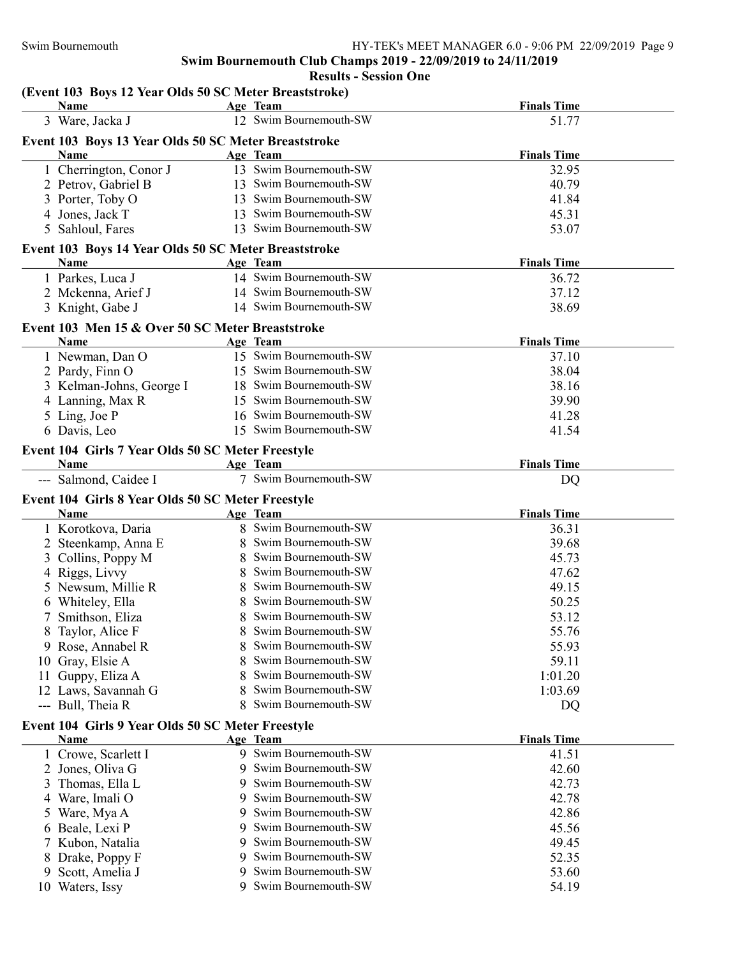Results - Session One

#### (Event 103 Boys 12 Year Olds 50 SC Meter Breaststroke)

|         | <b>Name</b>                                               |        | Age Team                                   | <b>Finals Time</b> |
|---------|-----------------------------------------------------------|--------|--------------------------------------------|--------------------|
|         | 3 Ware, Jacka J                                           |        | 12 Swim Bournemouth-SW                     | 51.77              |
|         | Event 103 Boys 13 Year Olds 50 SC Meter Breaststroke      |        |                                            |                    |
|         | Name                                                      |        | Age Team                                   | <b>Finals Time</b> |
|         | 1 Cherrington, Conor J                                    |        | 13 Swim Bournemouth-SW                     | 32.95              |
|         | 2 Petrov, Gabriel B                                       |        | 13 Swim Bournemouth-SW                     | 40.79              |
|         | 3 Porter, Toby O                                          |        | 13 Swim Bournemouth-SW                     | 41.84              |
|         | 4 Jones, Jack T                                           |        | 13 Swim Bournemouth-SW                     | 45.31              |
| 5       | Sahloul, Fares                                            |        | 13 Swim Bournemouth-SW                     | 53.07              |
|         |                                                           |        |                                            |                    |
|         | Event 103 Boys 14 Year Olds 50 SC Meter Breaststroke      |        |                                            |                    |
|         | Name                                                      |        | Age Team                                   | <b>Finals Time</b> |
|         | 1 Parkes, Luca J                                          |        | 14 Swim Bournemouth-SW                     | 36.72              |
|         | 2 Mckenna, Arief J                                        |        | 14 Swim Bournemouth-SW                     | 37.12              |
|         | 3 Knight, Gabe J                                          |        | 14 Swim Bournemouth-SW                     | 38.69              |
|         | Event 103 Men 15 & Over 50 SC Meter Breaststroke          |        |                                            |                    |
|         | Name                                                      |        | Age Team                                   | <b>Finals Time</b> |
|         | 1 Newman, Dan O                                           |        | 15 Swim Bournemouth-SW                     | 37.10              |
|         | 2 Pardy, Finn O                                           |        | 15 Swim Bournemouth-SW                     | 38.04              |
|         | 3 Kelman-Johns, George I                                  |        | 18 Swim Bournemouth-SW                     | 38.16              |
|         | 4 Lanning, Max R                                          |        | 15 Swim Bournemouth-SW                     | 39.90              |
|         | 5 Ling, Joe P                                             |        | 16 Swim Bournemouth-SW                     | 41.28              |
|         | 6 Davis, Leo                                              |        | 15 Swim Bournemouth-SW                     | 41.54              |
|         | Event 104 Girls 7 Year Olds 50 SC Meter Freestyle         |        |                                            |                    |
|         | Name                                                      |        | Age Team                                   | <b>Finals Time</b> |
|         | --- Salmond, Caidee I                                     |        | 7 Swim Bournemouth-SW                      | DQ                 |
|         |                                                           |        |                                            |                    |
|         | Event 104 Girls 8 Year Olds 50 SC Meter Freestyle<br>Name |        | Age Team                                   | <b>Finals Time</b> |
|         |                                                           |        |                                            |                    |
|         |                                                           |        |                                            |                    |
|         | 1 Korotkova, Daria                                        |        | 8 Swim Bournemouth-SW                      | 36.31              |
|         | 2 Steenkamp, Anna E                                       |        | Swim Bournemouth-SW                        | 39.68              |
| 3       | Collins, Poppy M                                          |        | Swim Bournemouth-SW                        | 45.73              |
|         | 4 Riggs, Livvy                                            |        | Swim Bournemouth-SW                        | 47.62              |
|         | 5 Newsum, Millie R                                        |        | Swim Bournemouth-SW                        | 49.15              |
|         | 6 Whiteley, Ella                                          |        | Swim Bournemouth-SW                        | 50.25              |
|         | Smithson, Eliza                                           |        | Swim Bournemouth-SW                        | 53.12              |
|         | 8 Taylor, Alice F                                         |        | Swim Bournemouth-SW                        | 55.76              |
|         | 9 Rose, Annabel R                                         |        | Swim Bournemouth-SW                        | 55.93              |
| 10      | Gray, Elsie A                                             |        | Swim Bournemouth-SW                        | 59.11              |
| 11      | Guppy, Eliza A                                            |        | Swim Bournemouth-SW                        | 1:01.20            |
|         | 12 Laws, Savannah G                                       | 8      | Swim Bournemouth-SW                        | 1:03.69            |
|         | --- Bull, Theia R                                         | 8      | Swim Bournemouth-SW                        | DQ                 |
|         | Event 104 Girls 9 Year Olds 50 SC Meter Freestyle         |        |                                            |                    |
|         | Name                                                      |        | Age Team                                   | <b>Finals Time</b> |
|         | 1 Crowe, Scarlett I                                       |        | 9 Swim Bournemouth-SW                      | 41.51              |
|         | 2 Jones, Oliva G                                          | 9      | Swim Bournemouth-SW                        | 42.60              |
| 3       | Thomas, Ella L                                            | 9      | Swim Bournemouth-SW                        | 42.73              |
| 4       | Ware, Imali O                                             | 9      | Swim Bournemouth-SW                        | 42.78              |
| 5       | Ware, Mya A                                               | 9      | Swim Bournemouth-SW                        | 42.86              |
| 6       | Beale, Lexi P                                             | 9      | Swim Bournemouth-SW                        | 45.56              |
|         | Kubon, Natalia                                            | 9      | Swim Bournemouth-SW                        | 49.45              |
|         | Drake, Poppy F                                            | 9      | Swim Bournemouth-SW                        | 52.35              |
| 9<br>10 | Scott, Amelia J<br>Waters, Issy                           | 9<br>9 | Swim Bournemouth-SW<br>Swim Bournemouth-SW | 53.60<br>54.19     |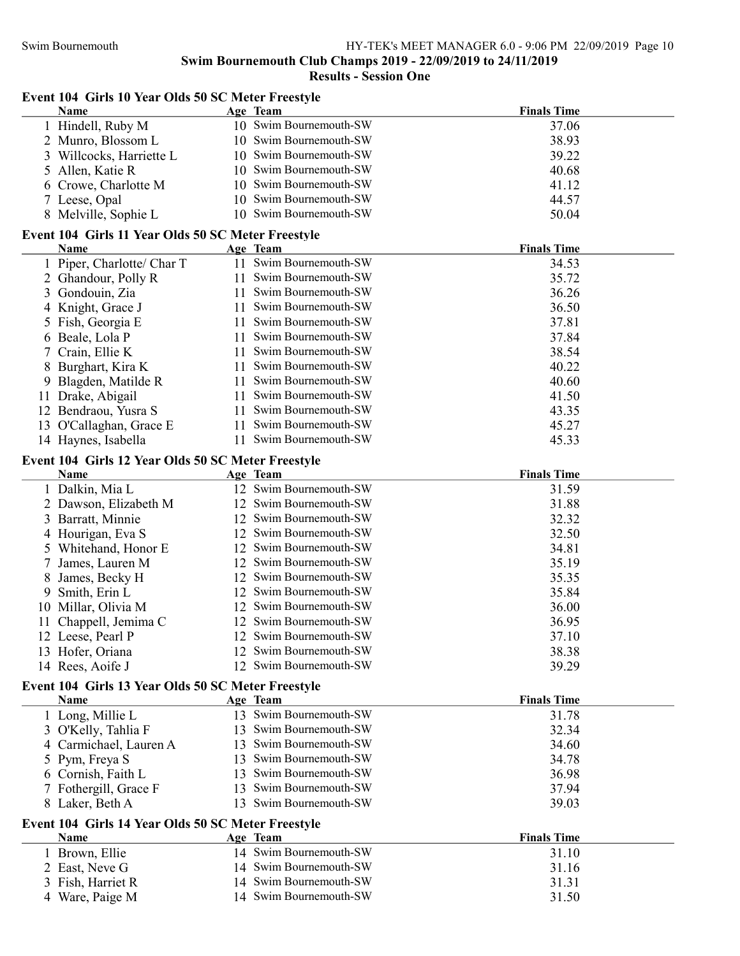| Event 104 Girls 10 Year Olds 50 SC Meter Freestyle<br>Name        | Age Team                   | <b>Finals Time</b> |
|-------------------------------------------------------------------|----------------------------|--------------------|
| 1 Hindell, Ruby M                                                 | 10 Swim Bournemouth-SW     | 37.06              |
| 2 Munro, Blossom L                                                | 10 Swim Bournemouth-SW     | 38.93              |
| 3 Willcocks, Harriette L                                          | 10 Swim Bournemouth-SW     | 39.22              |
| 5 Allen, Katie R                                                  | 10 Swim Bournemouth-SW     | 40.68              |
| 6 Crowe, Charlotte M                                              | 10 Swim Bournemouth-SW     | 41.12              |
| 7 Leese, Opal                                                     | 10 Swim Bournemouth-SW     | 44.57              |
| 8 Melville, Sophie L                                              | 10 Swim Bournemouth-SW     | 50.04              |
| Event 104 Girls 11 Year Olds 50 SC Meter Freestyle                |                            |                    |
| Name                                                              | Age Team                   | <b>Finals Time</b> |
| 1 Piper, Charlotte/ Char T                                        | 11 Swim Bournemouth-SW     | 34.53              |
| 2 Ghandour, Polly R                                               | 11 Swim Bournemouth-SW     | 35.72              |
| Gondouin, Zia<br>3                                                | 11 Swim Bournemouth-SW     | 36.26              |
| Knight, Grace J<br>4                                              | 11 Swim Bournemouth-SW     | 36.50              |
| Fish, Georgia E<br>5                                              | 11 Swim Bournemouth-SW     | 37.81              |
| Beale, Lola P<br>6                                                | 11 Swim Bournemouth-SW     | 37.84              |
| Crain, Ellie K                                                    | Swim Bournemouth-SW<br>11. | 38.54              |
| Burghart, Kira K<br>8                                             | Swim Bournemouth-SW<br>11  | 40.22              |
| Blagden, Matilde R<br>9                                           | 11 Swim Bournemouth-SW     | 40.60              |
| Drake, Abigail<br>11                                              | 11 Swim Bournemouth-SW     | 41.50              |
| 12 Bendraou, Yusra S                                              | 11 Swim Bournemouth-SW     | 43.35              |
| 13 O'Callaghan, Grace E                                           | 11 Swim Bournemouth-SW     | 45.27              |
| 14 Haynes, Isabella                                               | 11 Swim Bournemouth-SW     | 45.33              |
| Event 104 Girls 12 Year Olds 50 SC Meter Freestyle                |                            |                    |
| Name                                                              | Age Team                   | <b>Finals Time</b> |
| 1 Dalkin, Mia L                                                   | 12 Swim Bournemouth-SW     | 31.59              |
| 2 Dawson, Elizabeth M                                             | 12 Swim Bournemouth-SW     | 31.88              |
| 3 Barratt, Minnie                                                 | 12 Swim Bournemouth-SW     | 32.32              |
| 4 Hourigan, Eva S                                                 | 12 Swim Bournemouth-SW     | 32.50              |
| 5 Whitehand, Honor E                                              | 12 Swim Bournemouth-SW     | 34.81              |
| James, Lauren M                                                   | 12 Swim Bournemouth-SW     | 35.19              |
| James, Becky H<br>8                                               | 12 Swim Bournemouth-SW     | 35.35              |
| Smith, Erin L<br>9                                                | 12 Swim Bournemouth-SW     | 35.84              |
| 10 Millar, Olivia M                                               | 12 Swim Bournemouth-SW     | 36.00              |
| 11 Chappell, Jemima C                                             | 12 Swim Bournemouth-SW     | 36.95              |
| 12 Leese, Pearl P                                                 | 12 Swim Bournemouth-SW     | 37.10              |
| 13 Hofer, Oriana                                                  | 12 Swim Bournemouth-SW     | 38.38              |
| 14 Rees, Aoife J                                                  | 12 Swim Bournemouth-SW     | 39.29              |
| Event 104 Girls 13 Year Olds 50 SC Meter Freestyle                |                            |                    |
| <b>Name</b>                                                       | Age Team                   | <b>Finals Time</b> |
| 1 Long, Millie L                                                  | 13 Swim Bournemouth-SW     | 31.78              |
| 3 O'Kelly, Tahlia F                                               | 13 Swim Bournemouth-SW     | 32.34              |
| 4 Carmichael, Lauren A                                            | 13 Swim Bournemouth-SW     | 34.60              |
| 5 Pym, Freya S                                                    | 13 Swim Bournemouth-SW     | 34.78              |
| 6 Cornish, Faith L                                                | Swim Bournemouth-SW<br>13  | 36.98              |
| 7 Fothergill, Grace F                                             | Swim Bournemouth-SW<br>13  | 37.94              |
| 8 Laker, Beth A                                                   | Swim Bournemouth-SW<br>13  | 39.03              |
| Event 104 Girls 14 Year Olds 50 SC Meter Freestyle<br><b>Name</b> | Age Team                   | <b>Finals Time</b> |
| 1 Brown, Ellie                                                    | 14 Swim Bournemouth-SW     | 31.10              |
| 2 East, Neve G                                                    | 14 Swim Bournemouth-SW     | 31.16              |
| 3 Fish, Harriet R                                                 | 14 Swim Bournemouth-SW     | 31.31              |
| 4 Ware, Paige M                                                   | 14 Swim Bournemouth-SW     | 31.50              |
|                                                                   |                            |                    |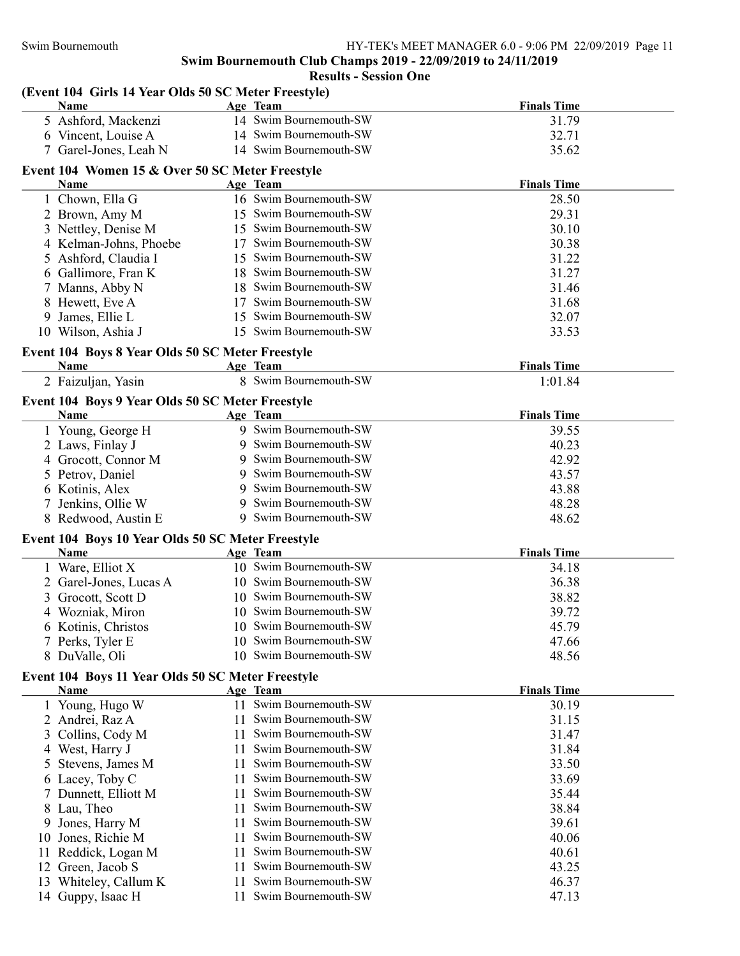|                                                      |     | Swim Bournemouth Club Champs 2019 - 22/09/2019 to 24/11/2019<br><b>Results - Session One</b> |                    |
|------------------------------------------------------|-----|----------------------------------------------------------------------------------------------|--------------------|
| (Event 104 Girls 14 Year Olds 50 SC Meter Freestyle) |     |                                                                                              |                    |
| Name                                                 |     | Age Team                                                                                     | <b>Finals Time</b> |
| 5 Ashford, Mackenzi                                  |     | 14 Swim Bournemouth-SW                                                                       | 31.79              |
| 6 Vincent, Louise A                                  |     | 14 Swim Bournemouth-SW                                                                       | 32.71              |
| 7 Garel-Jones, Leah N                                |     | 14 Swim Bournemouth-SW                                                                       | 35.62              |
| Event 104 Women 15 & Over 50 SC Meter Freestyle      |     |                                                                                              |                    |
| Name                                                 |     | Age Team                                                                                     | <b>Finals Time</b> |
| 1 Chown, Ella G                                      |     | 16 Swim Bournemouth-SW                                                                       | 28.50              |
| 2 Brown, Amy M                                       |     | 15 Swim Bournemouth-SW                                                                       | 29.31              |
| 3 Nettley, Denise M                                  |     | 15 Swim Bournemouth-SW                                                                       | 30.10              |
| 4 Kelman-Johns, Phoebe                               |     | 17 Swim Bournemouth-SW                                                                       | 30.38              |
| 5 Ashford, Claudia I                                 |     | 15 Swim Bournemouth-SW                                                                       | 31.22              |
| 6 Gallimore, Fran K                                  |     | 18 Swim Bournemouth-SW                                                                       | 31.27              |
| 7 Manns, Abby N                                      |     | 18 Swim Bournemouth-SW                                                                       | 31.46              |
| 8 Hewett, Eve A                                      |     | 17 Swim Bournemouth-SW                                                                       | 31.68              |
| James, Ellie L<br>9                                  |     | 15 Swim Bournemouth-SW                                                                       | 32.07              |
| 10 Wilson, Ashia J                                   |     | 15 Swim Bournemouth-SW                                                                       | 33.53              |
| Event 104 Boys 8 Year Olds 50 SC Meter Freestyle     |     |                                                                                              |                    |
| Name                                                 |     | Age Team                                                                                     | <b>Finals Time</b> |
| 2 Faizuljan, Yasin                                   |     | 8 Swim Bournemouth-SW                                                                        | 1:01.84            |
| Event 104 Boys 9 Year Olds 50 SC Meter Freestyle     |     |                                                                                              |                    |
| Name                                                 |     | Age Team                                                                                     | <b>Finals Time</b> |
| 1 Young, George H                                    |     | 9 Swim Bournemouth-SW                                                                        | 39.55              |
| 2 Laws, Finlay J                                     |     | 9 Swim Bournemouth-SW                                                                        | 40.23              |
| 4 Grocott, Connor M                                  |     | 9 Swim Bournemouth-SW                                                                        | 42.92              |
| 5 Petrov, Daniel                                     |     | 9 Swim Bournemouth-SW                                                                        | 43.57              |
| 6 Kotinis, Alex                                      |     | 9 Swim Bournemouth-SW                                                                        | 43.88              |
| 7 Jenkins, Ollie W                                   |     | 9 Swim Bournemouth-SW                                                                        | 48.28              |
| 8 Redwood, Austin E                                  |     | 9 Swim Bournemouth-SW                                                                        | 48.62              |
| Event 104 Boys 10 Year Olds 50 SC Meter Freestyle    |     |                                                                                              |                    |
| Name                                                 |     | Age Team                                                                                     | <b>Finals Time</b> |
| 1 Ware, Elliot X                                     |     | 10 Swim Bournemouth-SW                                                                       | 34.18              |
| 2 Garel-Jones, Lucas A                               |     | 10 Swim Bournemouth-SW                                                                       | 36.38              |
| 3 Grocott, Scott D                                   |     | 10 Swim Bournemouth-SW                                                                       | 38.82              |
| 4 Wozniak, Miron                                     |     | 10 Swim Bournemouth-SW                                                                       | 39.72              |
| 6 Kotinis, Christos                                  |     | 10 Swim Bournemouth-SW                                                                       | 45.79              |
| 7 Perks, Tyler E                                     |     | 10 Swim Bournemouth-SW                                                                       | 47.66              |
| 8 DuValle, Oli                                       |     | 10 Swim Bournemouth-SW                                                                       | 48.56              |
| Event 104 Boys 11 Year Olds 50 SC Meter Freestyle    |     |                                                                                              |                    |
| Name                                                 |     | Age Team                                                                                     | <b>Finals Time</b> |
| 1 Young, Hugo W                                      |     | 11 Swim Bournemouth-SW                                                                       | 30.19              |
| 2 Andrei, Raz A                                      |     | 11 Swim Bournemouth-SW                                                                       | 31.15              |
| Collins, Cody M<br>3                                 | 11. | Swim Bournemouth-SW                                                                          | 31.47              |
| West, Harry J<br>4                                   | 11  | Swim Bournemouth-SW                                                                          | 31.84              |
| Stevens, James M<br>5                                | 11  | Swim Bournemouth-SW                                                                          | 33.50              |
| 6 Lacey, Toby C                                      | 11  | Swim Bournemouth-SW                                                                          | 33.69              |
| Dunnett, Elliott M                                   | 11  | Swim Bournemouth-SW                                                                          | 35.44              |
| Lau, Theo<br>8                                       | 11  | Swim Bournemouth-SW                                                                          | 38.84              |
| Jones, Harry M<br>9                                  | 11  | Swim Bournemouth-SW                                                                          | 39.61              |
| Jones, Richie M<br>10                                | 11  | Swim Bournemouth-SW                                                                          | 40.06              |
| Reddick, Logan M<br>11                               | 11  | Swim Bournemouth-SW                                                                          | 40.61              |
| 12 Green, Jacob S                                    |     | 11 Swim Bournemouth-SW                                                                       | 43.25              |
|                                                      |     |                                                                                              |                    |

13 Whiteley, Callum K 11 Swim Bournemouth-SW 46.37<br>14 Guppy, Isaac H 11 Swim Bournemouth-SW 47.13 11 Swim Bournemouth-SW